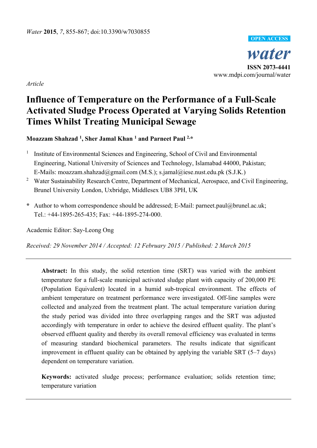

*Article* 

# **Influence of Temperature on the Performance of a Full-Scale Activated Sludge Process Operated at Varying Solids Retention Times Whilst Treating Municipal Sewage**

**Moazzam Shahzad 1 , Sher Jamal Khan 1 and Parneet Paul 2,\*** 

- 1 Institute of Environmental Sciences and Engineering, School of Civil and Environmental Engineering, National University of Sciences and Technology, Islamabad 44000, Pakistan; E-Mails: moazzam.shahzad@gmail.com (M.S.); s.jamal@iese.nust.edu.pk (S.J.K.)
- <sup>2</sup> Water Sustainability Research Centre, Department of Mechanical, Aerospace, and Civil Engineering, Brunel University London, Uxbridge, Middlesex UB8 3PH, UK
- **\*** Author to whom correspondence should be addressed; E-Mail: parneet.paul@brunel.ac.uk; Tel.: +44-1895-265-435; Fax: +44-1895-274-000.

Academic Editor: Say-Leong Ong

*Received: 29 November 2014 / Accepted: 12 February 2015 / Published: 2 March 2015* 

**Abstract:** In this study, the solid retention time (SRT) was varied with the ambient temperature for a full-scale municipal activated sludge plant with capacity of 200,000 PE (Population Equivalent) located in a humid sub-tropical environment. The effects of ambient temperature on treatment performance were investigated. Off-line samples were collected and analyzed from the treatment plant. The actual temperature variation during the study period was divided into three overlapping ranges and the SRT was adjusted accordingly with temperature in order to achieve the desired effluent quality. The plant's observed effluent quality and thereby its overall removal efficiency was evaluated in terms of measuring standard biochemical parameters. The results indicate that significant improvement in effluent quality can be obtained by applying the variable SRT (5–7 days) dependent on temperature variation.

**Keywords:** activated sludge process; performance evaluation; solids retention time; temperature variation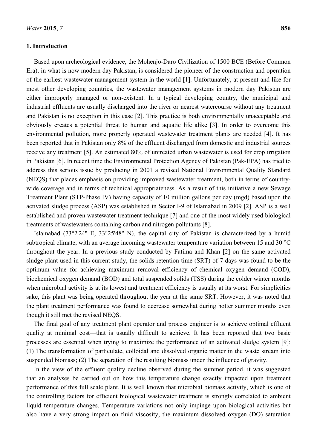## **1. Introduction**

Based upon archeological evidence, the Mohenjo-Daro Civilization of 1500 BCE (Before Common Era), in what is now modern day Pakistan, is considered the pioneer of the construction and operation of the earliest wastewater management system in the world [1]. Unfortunately, at present and like for most other developing countries, the wastewater management systems in modern day Pakistan are either improperly managed or non-existent. In a typical developing country, the municipal and industrial effluents are usually discharged into the river or nearest watercourse without any treatment and Pakistan is no exception in this case [2]. This practice is both environmentally unacceptable and obviously creates a potential threat to human and aquatic life alike [3]. In order to overcome this environmental pollution, more properly operated wastewater treatment plants are needed [4]. It has been reported that in Pakistan only 8% of the effluent discharged from domestic and industrial sources receive any treatment [5]. An estimated 80% of untreated urban wastewater is used for crop irrigation in Pakistan [6]. In recent time the Environmental Protection Agency of Pakistan (Pak-EPA) has tried to address this serious issue by producing in 2001 a revised National Environmental Quality Standard (NEQS) that places emphasis on providing improved wastewater treatment, both in terms of countrywide coverage and in terms of technical appropriateness. As a result of this initiative a new Sewage Treatment Plant (STP-Phase IV) having capacity of 10 million gallons per day (mgd) based upon the activated sludge process (ASP) was established in Sector I-9 of Islamabad in 2009 [2]. ASP is a well established and proven wastewater treatment technique [7] and one of the most widely used biological treatments of wastewaters containing carbon and nitrogen pollutants [8].

Islamabad (73°2'24'' E, 33°25'48'' N), the capital city of Pakistan is characterized by a humid subtropical climate, with an average incoming wastewater temperature variation between 15 and 30 °C throughout the year. In a previous study conducted by Fatima and Khan [2] on the same activated sludge plant used in this current study, the solids retention time (SRT) of 7 days was found to be the optimum value for achieving maximum removal efficiency of chemical oxygen demand (COD), biochemical oxygen demand (BOD) and total suspended solids (TSS) during the colder winter months when microbial activity is at its lowest and treatment efficiency is usually at its worst. For simplicities sake, this plant was being operated throughout the year at the same SRT. However, it was noted that the plant treatment performance was found to decrease somewhat during hotter summer months even though it still met the revised NEQS.

The final goal of any treatment plant operator and process engineer is to achieve optimal effluent quality at minimal cost—that is usually difficult to achieve. It has been reported that two basic processes are essential when trying to maximize the performance of an activated sludge system [9]: (1) The transformation of particulate, colloidal and dissolved organic matter in the waste stream into suspended biomass; (2) The separation of the resulting biomass under the influence of gravity.

In the view of the effluent quality decline observed during the summer period, it was suggested that an analyses be carried out on how this temperature change exactly impacted upon treatment performance of this full scale plant. It is well known that microbial biomass activity, which is one of the controlling factors for efficient biological wastewater treatment is strongly correlated to ambient liquid temperature changes. Temperature variations not only impinge upon biological activities but also have a very strong impact on fluid viscosity, the maximum dissolved oxygen (DO) saturation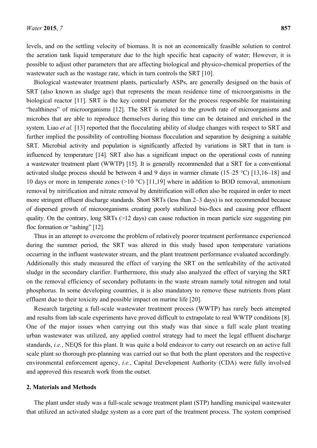levels, and on the settling velocity of biomass. It is not an economically feasible solution to control the aeration tank liquid temperature due to the high specific heat capacity of water; However, it is possible to adjust other parameters that are affecting biological and physico-chemical properties of the wastewater such as the wastage rate, which in turn controls the SRT [10].

Biological wastewater treatment plants, particularly ASPs, are generally designed on the basis of SRT (also known as sludge age) that represents the mean residence time of microorganisms in the biological reactor [11]. SRT is the key control parameter for the process responsible for maintaining "healthiness" of microorganisms [12]. The SRT is related to the growth rate of microorganisms and microbes that are able to reproduce themselves during this time can be detained and enriched in the system. Liao *et al.* [13] reported that the flocculating ability of sludge changes with respect to SRT and further implied the possibility of controlling biomass flocculation and separation by designing a suitable SRT. Microbial activity and population is significantly affected by variations in SRT that in turn is influenced by temperature [14]. SRT also has a significant impact on the operational costs of running a wastewater treatment plant (WWTP) [15]. It is generally recommended that a SRT for a conventional activated sludge process should be between 4 and 9 days in warmer climate (15–25 °C) [13,16–18] and 10 days or more in temperate zones (>10 °C) [11,19] where in addition to BOD removal, ammonium removal by nitrification and nitrate removal by denitrification will often also be required in order to meet more stringent effluent discharge standards. Short SRTs (less than 2–3 days) is not recommended because of dispersed growth of microorganisms creating poorly stabilized bio-flocs and causing poor effluent quality. On the contrary, long SRTs (>12 days) can cause reduction in mean particle size suggesting pin floc formation or "ashing" [12].

Thus in an attempt to overcome the problem of relatively poorer treatment performance experienced during the summer period, the SRT was altered in this study based upon temperature variations occurring in the influent wastewater stream, and the plant treatment performance evaluated accordingly. Additionally this study measured the effect of varying the SRT on the settleability of the activated sludge in the secondary clarifier. Furthermore, this study also analyzed the effect of varying the SRT on the removal efficiency of secondary pollutants in the waste stream namely total nitrogen and total phosphorus. In some developing countries, it is also mandatory to remove these nutrients from plant effluent due to their toxicity and possible impact on marine life [20].

Research targeting a full-scale wastewater treatment process (WWTP) has rarely been attempted and results from lab scale experiments have proved difficult to extrapolate to real WWTP conditions [8]. One of the major issues when carrying out this study was that since a full scale plant treating urban wastewater was utilized, any applied control strategy had to meet the legal effluent discharge standards, *i.e.*, NEQS for this plant. It was quite a bold endeavor to carry out research on an active full scale plant so thorough pre-planning was carried out so that both the plant operators and the respective environmental enforcement agency, *i.e.*, Capital Development Authority (CDA) were fully involved and approved this research work from the outset.

## **2. Materials and Methods**

The plant under study was a full-scale sewage treatment plant (STP) handling municipal wastewater that utilized an activated sludge system as a core part of the treatment process. The system comprised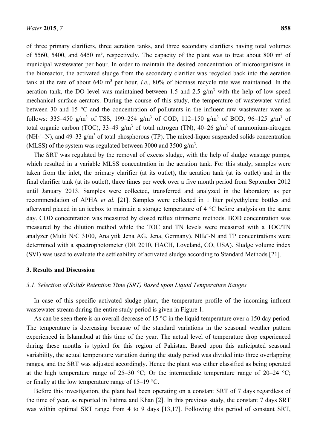of three primary clarifiers, three aeration tanks, and three secondary clarifiers having total volumes of 5560, 5400, and 6450 m<sup>3</sup>, respectively. The capacity of the plant was to treat about 800 m<sup>3</sup> of municipal wastewater per hour. In order to maintain the desired concentration of microorganisms in the bioreactor, the activated sludge from the secondary clarifier was recycled back into the aeration tank at the rate of about  $640 \text{ m}^3$  per hour, *i.e.*,  $80\%$  of biomass recycle rate was maintained. In the aeration tank, the DO level was maintained between 1.5 and 2.5  $g/m<sup>3</sup>$  with the help of low speed mechanical surface aerators. During the course of this study, the temperature of wastewater varied between 30 and 15 °C and the concentration of pollutants in the influent raw wastewater were as follows: 335–450 g/m<sup>3</sup> of TSS, 199–254 g/m<sup>3</sup> of COD, 112–150 g/m<sup>3</sup> of BOD, 96–125 g/m<sup>3</sup> of total organic carbon (TOC), 33–49 g/m<sup>3</sup> of total nitrogen (TN), 40–26 g/m<sup>3</sup> of ammonium-nitrogen (NH<sub>4</sub><sup>+</sup>-N), and 49–33 g/m<sup>3</sup> of total phosphorous (TP). The mixed-liquor suspended solids concentration (MLSS) of the system was regulated between 3000 and 3500  $g/m<sup>3</sup>$ .

The SRT was regulated by the removal of excess sludge, with the help of sludge wastage pumps, which resulted in a variable MLSS concentration in the aeration tank. For this study, samples were taken from the inlet, the primary clarifier (at its outlet), the aeration tank (at its outlet) and in the final clarifier tank (at its outlet), three times per week over a five month period from September 2012 until January 2013. Samples were collected, transferred and analyzed in the laboratory as per recommendation of APHA *et al.* [21]. Samples were collected in 1 liter polyethylene bottles and afterward placed in an icebox to maintain a storage temperature of 4 °C before analysis on the same day. COD concentration was measured by closed reflux titrimetric methods. BOD concentration was measured by the dilution method while the TOC and TN levels were measured with a TOC/TN analyzer (Multi N/C 3100, Analytik Jena AG, Jena, Germany).  $NH_4^+$ -N and TP concentrations were determined with a spectrophotometer (DR 2010, HACH, Loveland, CO, USA). Sludge volume index (SVI) was used to evaluate the settleability of activated sludge according to Standard Methods [21].

#### **3. Results and Discussion**

#### *3.1. Selection of Solids Retention Time (SRT) Based upon Liquid Temperature Ranges*

In case of this specific activated sludge plant, the temperature profile of the incoming influent wastewater stream during the entire study period is given in Figure 1.

As can be seen there is an overall decrease of 15 °C in the liquid temperature over a 150 day period. The temperature is decreasing because of the standard variations in the seasonal weather pattern experienced in Islamabad at this time of the year. The actual level of temperature drop experienced during these months is typical for this region of Pakistan. Based upon this anticipated seasonal variability, the actual temperature variation during the study period was divided into three overlapping ranges, and the SRT was adjusted accordingly. Hence the plant was either classified as being operated at the high temperature range of 25–30 °C; Or the intermediate temperature range of 20–24 °C; or finally at the low temperature range of 15–19 °C.

Before this investigation, the plant had been operating on a constant SRT of 7 days regardless of the time of year, as reported in Fatima and Khan [2]. In this previous study, the constant 7 days SRT was within optimal SRT range from 4 to 9 days [13,17]. Following this period of constant SRT,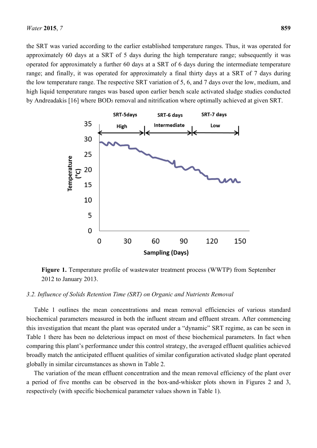the SRT was varied according to the earlier established temperature ranges. Thus, it was operated for approximately 60 days at a SRT of 5 days during the high temperature range; subsequently it was operated for approximately a further 60 days at a SRT of 6 days during the intermediate temperature range; and finally, it was operated for approximately a final thirty days at a SRT of 7 days during the low temperature range. The respective SRT variation of 5, 6, and 7 days over the low, medium, and high liquid temperature ranges was based upon earlier bench scale activated sludge studies conducted by Andreadakis [16] where BOD<sub>5</sub> removal and nitrification where optimally achieved at given SRT.



**Figure 1.** Temperature profile of wastewater treatment process (WWTP) from September 2012 to January 2013.

#### *3.2. Influence of Solids Retention Time (SRT) on Organic and Nutrients Removal*

Table 1 outlines the mean concentrations and mean removal efficiencies of various standard biochemical parameters measured in both the influent stream and effluent stream. After commencing this investigation that meant the plant was operated under a "dynamic" SRT regime, as can be seen in Table 1 there has been no deleterious impact on most of these biochemical parameters. In fact when comparing this plant's performance under this control strategy, the averaged effluent qualities achieved broadly match the anticipated effluent qualities of similar configuration activated sludge plant operated globally in similar circumstances as shown in Table 2.

The variation of the mean effluent concentration and the mean removal efficiency of the plant over a period of five months can be observed in the box-and-whisker plots shown in Figures 2 and 3, respectively (with specific biochemical parameter values shown in Table 1).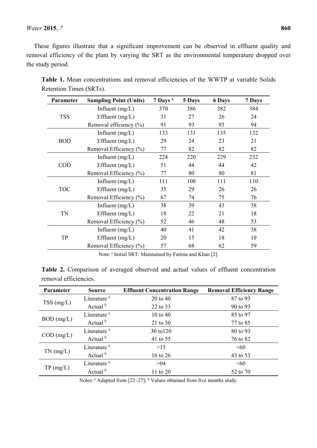# *Water* **2015**, *7* **860**

These figures illustrate that a significant improvement can be observed in effluent quality and removal efficiency of the plant by varying the SRT as the environmental temperature dropped over the study period.

| Parameter  | <b>Sampling Point (Units)</b> | 7 Days <sup>a</sup> | 5 Days | <b>6 Days</b> | 7 Days |
|------------|-------------------------------|---------------------|--------|---------------|--------|
| <b>TSS</b> | Influent $(mg/L)$             | 370                 | 386    | 382           | 384    |
|            | Effluent $(mg/L)$             | 31                  | 27     | 26            | 24     |
|            | Removal efficiency (%)        | 91                  | 93     | 93            | 94     |
| <b>BOD</b> | Influent $(mg/L)$             | 133                 | 131    | 135           | 132    |
|            | Effluent $(mg/L)$             | 29                  | 24     | 23            | 21     |
|            | Removal Efficiency (%)        | 77                  | 82     | 82            | 82     |
| <b>COD</b> | Influent $(mg/L)$             | 224                 | 220    | 229           | 232    |
|            | Effluent $(mg/L)$             | 51                  | 44     | 44            | 42     |
|            | Removal Efficiency (%)        | 77                  | 80     | 80            | 81     |
| <b>TOC</b> | Influent $(mg/L)$             | 111                 | 108    | 111           | 110    |
|            | Effluent $(mg/L)$             | 35                  | 29     | 26            | 26     |
|            | Removal Efficiency (%)        | 67                  | 74     | 75            | 76     |
| <b>TN</b>  | Influent $(mg/L)$             | 38                  | 39     | 43            | 38     |
|            | Effluent $(mg/L)$             | 18                  | 22     | 21            | 18     |
|            | Removal Efficiency (%)        | 52                  | 46     | 48            | 53     |
| TP         | Influent $(mg/L)$             | 40                  | 41     | 42            | 38     |
|            | Effluent $(mg/L)$             | 20                  | 15     | 18            | 19     |
|            | Removal Efficiency (%)        | 57                  | 68     | 62            | 59     |

**Table 1.** Mean concentrations and removal efficiencies of the WWTP at variable Solids Retention Times (SRTs).

Note: a Initial SRT: Maintained by Fatima and Khan [2].

**Table 2.** Comparison of averaged observed and actual values of effluent concentration removal efficiencies.

| <b>Parameter</b> | <b>Source</b>           | <b>Effluent Concentration Range</b> | <b>Removal Efficiency Range</b> |  |
|------------------|-------------------------|-------------------------------------|---------------------------------|--|
| $TSS$ (mg/L)     | Literature <sup>a</sup> | 20 to 40                            | 87 to 93                        |  |
|                  | Actual <sup>b</sup>     | 22 to 33                            | 90 to 93                        |  |
| $BOD$ (mg/L)     | Literature <sup>a</sup> | 10 to 40                            | 85 to 97                        |  |
|                  | Actual <sup>b</sup>     | 21 to 30                            | 77 to 85                        |  |
| $COD$ (mg/L)     | Literature <sup>a</sup> | 30 to 120                           | 80 to 93                        |  |
|                  | Actual b                | 41 to 55                            | 76 to 82                        |  |
| $TN$ (mg/L)      | Literature <sup>a</sup> | >15                                 | < 60                            |  |
|                  | Actual <sup>b</sup>     | 16 to 26                            | 43 to 53                        |  |
| TP(mg/L)         | Literature <sup>a</sup> | >04                                 | <60                             |  |
|                  | Actual <sup>b</sup>     | 11 to 20                            | 52 to 70                        |  |

Notes:  $a$  Adapted from [22–27];  $b$  Values obtained from five months study.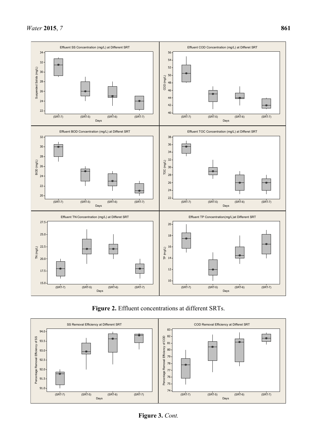





**Figure 3.** *Cont.*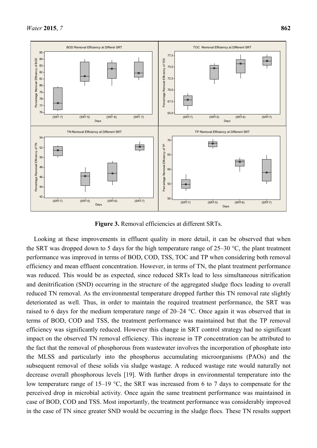

**Figure 3.** Removal efficiencies at different SRTs.

Looking at these improvements in effluent quality in more detail, it can be observed that when the SRT was dropped down to 5 days for the high temperature range of 25–30 °C, the plant treatment performance was improved in terms of BOD, COD, TSS, TOC and TP when considering both removal efficiency and mean effluent concentration. However, in terms of TN, the plant treatment performance was reduced. This would be as expected, since reduced SRTs lead to less simultaneous nitrification and denitrification (SND) occurring in the structure of the aggregated sludge flocs leading to overall reduced TN removal. As the environmental temperature dropped further this TN removal rate slightly deteriorated as well. Thus, in order to maintain the required treatment performance, the SRT was raised to 6 days for the medium temperature range of 20–24 °C. Once again it was observed that in terms of BOD, COD and TSS, the treatment performance was maintained but that the TP removal efficiency was significantly reduced. However this change in SRT control strategy had no significant impact on the observed TN removal efficiency. This increase in TP concentration can be attributed to the fact that the removal of phosphorous from wastewater involves the incorporation of phosphate into the MLSS and particularly into the phosphorus accumulating microorganisms (PAOs) and the subsequent removal of these solids via sludge wastage. A reduced wastage rate would naturally not decrease overall phosphorous levels [19]. With further drops in environmental temperature into the low temperature range of 15–19 °C, the SRT was increased from 6 to 7 days to compensate for the perceived drop in microbial activity. Once again the same treatment performance was maintained in case of BOD, COD and TSS. Most importantly, the treatment performance was considerably improved in the case of TN since greater SND would be occurring in the sludge flocs. These TN results support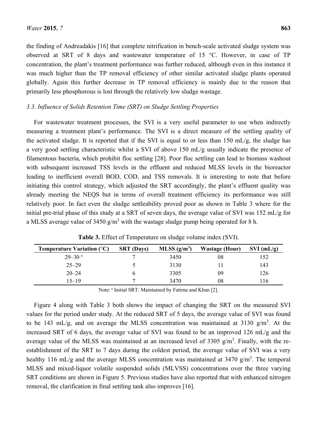the finding of Andreadakis [16] that complete nitrification in bench-scale activated sludge system was observed at SRT of 8 days and wastewater temperature of 15 °C. However, in case of TP concentration, the plant's treatment performance was further reduced, although even in this instance it was much higher than the TP removal efficiency of other similar activated sludge plants operated globally. Again this further decrease in TP removal efficiency is mainly due to the reason that primarily less phosphorous is lost through the relatively low sludge wastage.

#### *3.3. Influence of Solids Retention Time (SRT) on Sludge Settling Properties*

For wastewater treatment processes, the SVI is a very useful parameter to use when indirectly measuring a treatment plant's performance. The SVI is a direct measure of the settling quality of the activated sludge. It is reported that if the SVI is equal to or less than 150 mL/g, the sludge has a very good settling characteristic whilst a SVI of above 150 mL/g usually indicate the presence of filamentous bacteria, which prohibit floc settling [28]. Poor floc settling can lead to biomass washout with subsequent increased TSS levels in the effluent and reduced MLSS levels in the bioreactor leading to inefficient overall BOD, COD, and TSS removals. It is interesting to note that before initiating this control strategy, which adjusted the SRT accordingly, the plant's effluent quality was already meeting the NEQS but in terms of overall treatment efficiency its performance was still relatively poor. In fact even the sludge settleability proved poor as shown in Table 3 where for the initial pre-trial phase of this study at a SRT of seven days, the average value of SVI was 152 mL/g for a MLSS average value of 3450  $g/m<sup>3</sup>$  with the wastage sludge pump being operated for 8 h.

| <b>Temperature Variation <math>(^{\circ}C)</math></b> | <b>SRT</b> (Days) | MLSS $(g/m^3)$ | <b>Wastage (Hour)</b> | $SVI$ (mL/g) |
|-------------------------------------------------------|-------------------|----------------|-----------------------|--------------|
| $29 - 30$ <sup>a</sup>                                |                   | 3450           | 08                    | 152          |
| $25 - 29$                                             |                   | 3130           |                       | 143          |
| $20 - 24$                                             |                   | 3305           | 09                    | 126          |
| $15 - 19$                                             |                   | 3470           | 08                    | 16           |

**Table 3.** Effect of Temperature on sludge volume index (SVI).

Note: <sup>a</sup> Initial SRT: Maintained by Fatima and Khan [2].

Figure 4 along with Table 3 both shows the impact of changing the SRT on the measured SVI values for the period under study. At the reduced SRT of 5 days, the average value of SVI was found to be 143 mL/g, and on average the MLSS concentration was maintained at 3130  $g/m<sup>3</sup>$ . At the increased SRT of 6 days, the average value of SVI was found to be an improved 126 mL/g and the average value of the MLSS was maintained at an increased level of 3305  $g/m<sup>3</sup>$ . Finally, with the reestablishment of the SRT to 7 days during the coldest period, the average value of SVI was a very healthy 116 mL/g and the average MLSS concentration was maintained at 3470  $g/m<sup>3</sup>$ . The temporal MLSS and mixed-liquor volatile suspended solids (MLVSS) concentrations over the three varying SRT conditions are shown in Figure 5. Previous studies have also reported that with enhanced nitrogen removal, the clarification in final settling tank also improves [16].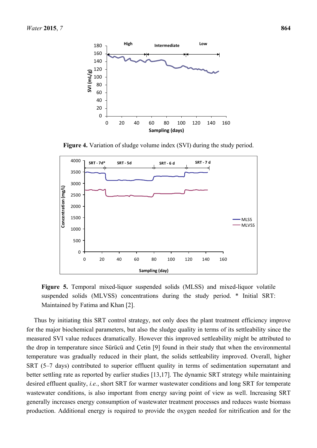

**Figure 4.** Variation of sludge volume index (SVI) during the study period.



**Figure 5.** Temporal mixed-liquor suspended solids (MLSS) and mixed-liquor volatile suspended solids (MLVSS) concentrations during the study period. \* Initial SRT: Maintained by Fatima and Khan [2].

Thus by initiating this SRT control strategy, not only does the plant treatment efficiency improve for the major biochemical parameters, but also the sludge quality in terms of its settleability since the measured SVI value reduces dramatically. However this improved settleability might be attributed to the drop in temperature since Sürücü and Çetin [9] found in their study that when the environmental temperature was gradually reduced in their plant, the solids settleability improved. Overall, higher SRT (5–7 days) contributed to superior effluent quality in terms of sedimentation supernatant and better settling rate as reported by earlier studies [13,17]. The dynamic SRT strategy while maintaining desired effluent quality, *i.e.*, short SRT for warmer wastewater conditions and long SRT for temperate wastewater conditions, is also important from energy saving point of view as well. Increasing SRT generally increases energy consumption of wastewater treatment processes and reduces waste biomass production. Additional energy is required to provide the oxygen needed for nitrification and for the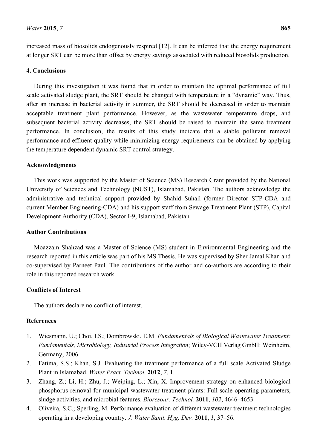increased mass of biosolids endogenously respired [12]. It can be inferred that the energy requirement at longer SRT can be more than offset by energy savings associated with reduced biosolids production.

# **4. Conclusions**

During this investigation it was found that in order to maintain the optimal performance of full scale activated sludge plant, the SRT should be changed with temperature in a "dynamic" way. Thus, after an increase in bacterial activity in summer, the SRT should be decreased in order to maintain acceptable treatment plant performance. However, as the wastewater temperature drops, and subsequent bacterial activity decreases, the SRT should be raised to maintain the same treatment performance. In conclusion, the results of this study indicate that a stable pollutant removal performance and effluent quality while minimizing energy requirements can be obtained by applying the temperature dependent dynamic SRT control strategy.

# **Acknowledgments**

This work was supported by the Master of Science (MS) Research Grant provided by the National University of Sciences and Technology (NUST), Islamabad, Pakistan. The authors acknowledge the administrative and technical support provided by Shahid Suhail (former Director STP-CDA and current Member Engineering-CDA) and his support staff from Sewage Treatment Plant (STP), Capital Development Authority (CDA), Sector I-9, Islamabad, Pakistan.

# **Author Contributions**

Moazzam Shahzad was a Master of Science (MS) student in Environmental Engineering and the research reported in this article was part of his MS Thesis. He was supervised by Sher Jamal Khan and co-supervised by Parneet Paul. The contributions of the author and co-authors are according to their role in this reported research work.

# **Conflicts of Interest**

The authors declare no conflict of interest.

# **References**

- 1. Wiesmann, U.; Choi, I.S.; Dombrowski, E.M. *Fundamentals of Biological Wastewater Treatment: Fundamentals, Microbiology, Industrial Process Integration*; Wiley-VCH Verlag GmbH: Weinheim, Germany, 2006.
- 2. Fatima, S.S.; Khan, S.J. Evaluating the treatment performance of a full scale Activated Sludge Plant in Islamabad. *Water Pract. Technol.* **2012**, *7*, 1.
- 3. Zhang, Z.; Li, H.; Zhu, J.; Weiping, L.; Xin, X. Improvement strategy on enhanced biological phosphorus removal for municipal wastewater treatment plants: Full-scale operating parameters, sludge activities, and microbial features. *Bioresour. Technol.* **2011**, *102*, 4646–4653.
- 4. Oliveira, S.C.; Sperling, M. Performance evaluation of different wastewater treatment technologies operating in a developing country. *J. Water Sanit. Hyg. Dev.* **2011**, *1*, 37–56.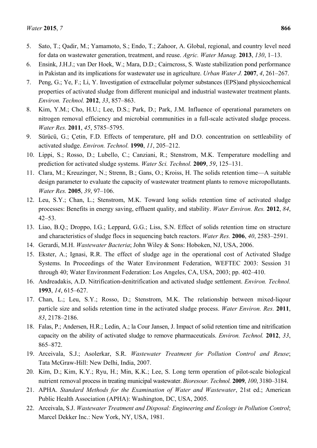- 5. Sato, T.; Qadir, M.; Yamamoto, S.; Endo, T.; Zahoor, A. Global, regional, and country level need for data on wastewater generation, treatment, and reuse. *Agric. Water Manag.* **2013**, *130*, 1–13.
- 6. Ensink, J.H.J.; van Der Hoek, W.; Mara, D.D.; Cairncross, S. Waste stabilization pond performance in Pakistan and its implications for wastewater use in agriculture. *Urban Water J.* **2007**, *4*, 261–267.
- 7. Peng, G.; Ye, F.; Li, Y. Investigation of extracellular polymer substances (EPS)and physicochemical properties of activated sludge from different municipal and industrial wastewater treatment plants. *Environ. Technol.* **2012**, *33*, 857–863.
- 8. Kim, Y.M.; Cho, H.U.; Lee, D.S.; Park, D.; Park, J.M. Influence of operational parameters on nitrogen removal efficiency and microbial communities in a full-scale activated sludge process. *Water Res.* **2011**, *45*, 5785–5795.
- 9. Sürücü, G.; Çetin, F.D. Effects of temperature, pH and D.O. concentration on settleability of activated sludge. *Environ. Technol.* **1990**, *11*, 205–212.
- 10. Lippi, S.; Rosso, D.; Lubello, C.; Canziani, R.; Stenstrom, M.K. Temperature modelling and prediction for activated sludge systems. *Water Sci. Technol.* **2009**, *59*, 125–131.
- 11. Clara, M.; Kreuzinger, N.; Strenn, B.; Gans, O.; Kroiss, H. The solids retention time—A suitable design parameter to evaluate the capacity of wastewater treatment plants to remove micropollutants. *Water Res.* **2005**, *39*, 97–106.
- 12. Leu, S.Y.; Chan, L.; Stenstrom, M.K. Toward long solids retention time of activated sludge processes: Benefits in energy saving, effluent quality, and stability. *Water Environ. Res.* **2012**, *84*, 42–53.
- 13. Liao, B.Q.; Droppo, I.G.; Leppard, G.G.; Liss, S.N. Effect of solids retention time on structure and characteristics of sludge flocs in sequencing batch reactors. *Water Res.* **2006**, *40*, 2583–2591.
- 14. Gerardi, M.H. *Wastewater Bacteria*; John Wiley & Sons: Hoboken, NJ, USA, 2006.
- 15. Ekster, A.; Ignasi, R.R. The effect of sludge age in the operational cost of Activated Sludge Systems. In Proceedings of the Water Environment Federation, WEFTEC 2003: Session 31 through 40; Water Environment Federation: Los Angeles, CA, USA, 2003; pp. 402–410.
- 16. Andreadakis, A.D. Nitrification-denitrification and activated sludge settlement. *Environ. Technol.* **1993**, *14*, 615–627.
- 17. Chan, L.; Leu, S.Y.; Rosso, D.; Stenstrom, M.K. The relationship between mixed-liqour particle size and solids retention time in the activated sludge process. *Water Environ. Res.* **2011**, *83*, 2178–2186.
- 18. Falas, P.; Andersen, H.R.; Ledin, A.; la Cour Jansen, J. Impact of solid retention time and nitrification capacity on the ability of activated sludge to remove pharmaceuticals. *Environ. Technol.* **2012**, *33*, 865–872.
- 19. Arceivala, S.J.; Asolerkar, S.R. *Wastewater Treatment for Pollution Control and Reuse*; Tata McGraw-Hill: New Delhi, India, 2007.
- 20. Kim, D.; Kim, K.Y.; Ryu, H.; Min, K.K.; Lee, S. Long term operation of pilot-scale biological nutrient removal process in treating municipal wastewater. *Bioresour. Technol.* **2009**, *100*, 3180–3184.
- 21. APHA. *Standard Methods for the Examination of Water and Wastewater*, 21st ed.; American Public Health Association (APHA): Washington, DC, USA, 2005.
- 22. Arceivala, S.J. *Wastewater Treatment and Disposal: Engineering and Ecology in Pollution Control*; Marcel Dekker Inc.: New York, NY, USA, 1981.